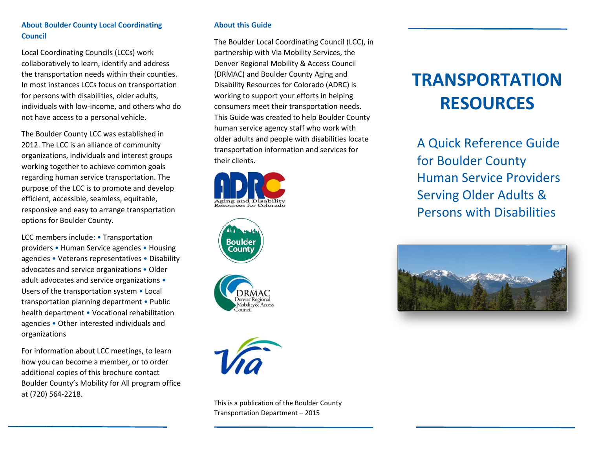## **About Boulder County Local Coordinating Council**

Local Coordinating Councils (LCCs) work collaboratively to learn, identify and address the transportation needs within their counties. In most instances LCCs focus on transportation for persons with disabilities, older adults, individuals with low-income, and others who do not have access to a personal vehicle.

The Boulder County LCC was established in 2012. The LCC is an alliance of community organizations, individuals and interest groups working together to achieve common goals regarding human service transportation. The purpose of the LCC is to promote and develop efficient, accessible, seamless, equitable, responsive and easy to arrange transportation options for Boulder County.

LCC members include: • Transportation providers • Human Service agencies • Housing agencies • Veterans representatives • Disability advocates and service organizations • Older adult advocates and service organizations • Users of the transportation system • Local transportation planning department • Public health department • Vocational rehabilitation agencies • Other interested individuals and organizations

For information about LCC meetings, to learn how you can become a member, or to order additional copies of this brochure contact Boulder County's Mobility for All program office at (720) 564-2218.

## **About this Guide**

The Boulder Local Coordinating Council (LCC), in partnership with Via Mobility Services, the Denver Regional Mobility & Access Council (DRMAC) and Boulder County Aging and Disability Resources for Colorado (ADRC) is working to support your efforts in helping consumers meet their transportation needs. This Guide was created to help Boulder County human service agency staff who work with older adults and people with disabilities locate transportation information and services for their clients.









This is a publication of the Boulder County Transportation Department – 2015

# **TRANSPORTATION RESOURCES**

A Quick Reference Guide for Boulder County Human Service Providers Serving Older Adults & Persons with Disabilities